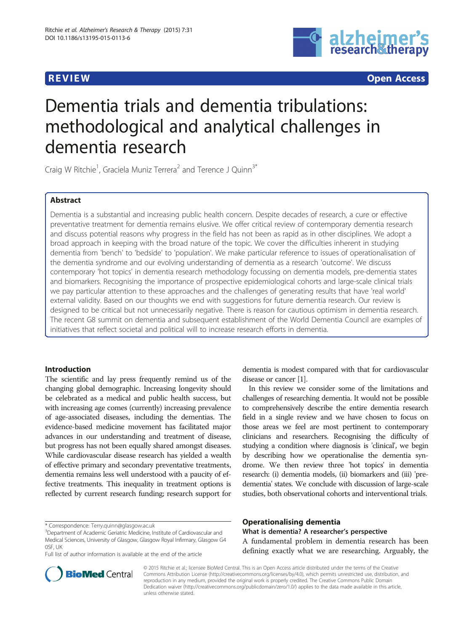

**REVIEW CONSTRUCTION CONTROL** 

# Dementia trials and dementia tribulations: methodological and analytical challenges in dementia research

Craig W Ritchie<sup>1</sup>, Graciela Muniz Terrera<sup>2</sup> and Terence J Quinn<sup>3\*</sup>

# Abstract

Dementia is a substantial and increasing public health concern. Despite decades of research, a cure or effective preventative treatment for dementia remains elusive. We offer critical review of contemporary dementia research and discuss potential reasons why progress in the field has not been as rapid as in other disciplines. We adopt a broad approach in keeping with the broad nature of the topic. We cover the difficulties inherent in studying dementia from 'bench' to 'bedside' to 'population'. We make particular reference to issues of operationalisation of the dementia syndrome and our evolving understanding of dementia as a research 'outcome'. We discuss contemporary 'hot topics' in dementia research methodology focussing on dementia models, pre-dementia states and biomarkers. Recognising the importance of prospective epidemiological cohorts and large-scale clinical trials we pay particular attention to these approaches and the challenges of generating results that have 'real world' external validity. Based on our thoughts we end with suggestions for future dementia research. Our review is designed to be critical but not unnecessarily negative. There is reason for cautious optimism in dementia research. The recent G8 summit on dementia and subsequent establishment of the World Dementia Council are examples of initiatives that reflect societal and political will to increase research efforts in dementia.

# Introduction

The scientific and lay press frequently remind us of the changing global demographic. Increasing longevity should be celebrated as a medical and public health success, but with increasing age comes (currently) increasing prevalence of age-associated diseases, including the dementias. The evidence-based medicine movement has facilitated major advances in our understanding and treatment of disease, but progress has not been equally shared amongst diseases. While cardiovascular disease research has yielded a wealth of effective primary and secondary preventative treatments, dementia remains less well understood with a paucity of effective treatments. This inequality in treatment options is reflected by current research funding; research support for



In this review we consider some of the limitations and challenges of researching dementia. It would not be possible to comprehensively describe the entire dementia research field in a single review and we have chosen to focus on those areas we feel are most pertinent to contemporary clinicians and researchers. Recognising the difficulty of studying a condition where diagnosis is 'clinical', we begin by describing how we operationalise the dementia syndrome. We then review three 'hot topics' in dementia research: (i) dementia models, (ii) biomarkers and (iii) 'predementia' states. We conclude with discussion of large-scale studies, both observational cohorts and interventional trials.

# Operationalising dementia

What is dementia? A researcher's perspective A fundamental problem in dementia research has been defining exactly what we are researching. Arguably, the



© 2015 Ritchie et al.; licensee BioMed Central. This is an Open Access article distributed under the terms of the Creative Commons Attribution License [\(http://creativecommons.org/licenses/by/4.0\)](http://creativecommons.org/licenses/by/4.0), which permits unrestricted use, distribution, and reproduction in any medium, provided the original work is properly credited. The Creative Commons Public Domain Dedication waiver [\(http://creativecommons.org/publicdomain/zero/1.0/](http://creativecommons.org/publicdomain/zero/1.0/)) applies to the data made available in this article, unless otherwise stated.

<sup>\*</sup> Correspondence: [Terry.quinn@glasgow.ac.uk](mailto:Terry.quinn@glasgow.ac.uk) <sup>3</sup>

<sup>&</sup>lt;sup>3</sup>Department of Academic Geriatric Medicine, Institute of Cardiovascular and Medical Sciences, University of Glasgow, Glasgow Royal Infirmary, Glasgow G4 0SF, UK

Full list of author information is available at the end of the article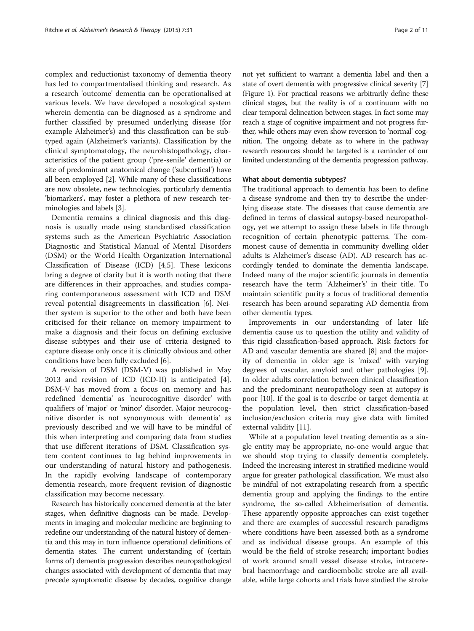complex and reductionist taxonomy of dementia theory has led to compartmentalised thinking and research. As a research 'outcome' dementia can be operationalised at various levels. We have developed a nosological system wherein dementia can be diagnosed as a syndrome and further classified by presumed underlying disease (for example Alzheimer's) and this classification can be subtyped again (Alzheimer's variants). Classification by the clinical symptomatology, the neurohistopathology, characteristics of the patient group ('pre-senile' dementia) or site of predominant anatomical change ('subcortical') have all been employed [[2\]](#page-9-0). While many of these classifications are now obsolete, new technologies, particularly dementia 'biomarkers', may foster a plethora of new research terminologies and labels [\[3](#page-9-0)].

Dementia remains a clinical diagnosis and this diagnosis is usually made using standardised classification systems such as the American Psychiatric Association Diagnostic and Statistical Manual of Mental Disorders (DSM) or the World Health Organization International Classification of Disease (ICD) [[4,5\]](#page-9-0). These lexicons bring a degree of clarity but it is worth noting that there are differences in their approaches, and studies comparing contemporaneous assessment with ICD and DSM reveal potential disagreements in classification [\[6](#page-9-0)]. Neither system is superior to the other and both have been criticised for their reliance on memory impairment to make a diagnosis and their focus on defining exclusive disease subtypes and their use of criteria designed to capture disease only once it is clinically obvious and other conditions have been fully excluded [[6](#page-9-0)].

A revision of DSM (DSM-V) was published in May 2013 and revision of ICD (ICD-II) is anticipated [\[4](#page-9-0)]. DSM-V has moved from a focus on memory and has redefined 'dementia' as 'neurocognitive disorder' with qualifiers of 'major' or 'minor' disorder. Major neurocognitive disorder is not synonymous with 'dementia' as previously described and we will have to be mindful of this when interpreting and comparing data from studies that use different iterations of DSM. Classification system content continues to lag behind improvements in our understanding of natural history and pathogenesis. In the rapidly evolving landscape of contemporary dementia research, more frequent revision of diagnostic classification may become necessary.

Research has historically concerned dementia at the later stages, when definitive diagnosis can be made. Developments in imaging and molecular medicine are beginning to redefine our understanding of the natural history of dementia and this may in turn influence operational definitions of dementia states. The current understanding of (certain forms of) dementia progression describes neuropathological changes associated with development of dementia that may precede symptomatic disease by decades, cognitive change

not yet sufficient to warrant a dementia label and then a state of overt dementia with progressive clinical severity [[7](#page-9-0)] (Figure [1](#page-2-0)). For practical reasons we arbitrarily define these clinical stages, but the reality is of a continuum with no clear temporal delineation between stages. In fact some may reach a stage of cognitive impairment and not progress further, while others may even show reversion to 'normal' cognition. The ongoing debate as to where in the pathway research resources should be targeted is a reminder of our limited understanding of the dementia progression pathway.

#### What about dementia subtypes?

The traditional approach to dementia has been to define a disease syndrome and then try to describe the underlying disease state. The diseases that cause dementia are defined in terms of classical autopsy-based neuropathology, yet we attempt to assign these labels in life through recognition of certain phenotypic patterns. The commonest cause of dementia in community dwelling older adults is Alzheimer's disease (AD). AD research has accordingly tended to dominate the dementia landscape. Indeed many of the major scientific journals in dementia research have the term 'Alzheimer's' in their title. To maintain scientific purity a focus of traditional dementia research has been around separating AD dementia from other dementia types.

Improvements in our understanding of later life dementia cause us to question the utility and validity of this rigid classification-based approach. Risk factors for AD and vascular dementia are shared [[8\]](#page-9-0) and the majority of dementia in older age is 'mixed' with varying degrees of vascular, amyloid and other pathologies [\[9](#page-9-0)]. In older adults correlation between clinical classification and the predominant neuropathology seen at autopsy is poor [\[10\]](#page-9-0). If the goal is to describe or target dementia at the population level, then strict classification-based inclusion/exclusion criteria may give data with limited external validity [[11\]](#page-9-0).

While at a population level treating dementia as a single entity may be appropriate, no-one would argue that we should stop trying to classify dementia completely. Indeed the increasing interest in stratified medicine would argue for greater pathological classification. We must also be mindful of not extrapolating research from a specific dementia group and applying the findings to the entire syndrome, the so-called Alzheimerisation of dementia. These apparently opposite approaches can exist together and there are examples of successful research paradigms where conditions have been assessed both as a syndrome and as individual disease groups. An example of this would be the field of stroke research; important bodies of work around small vessel disease stroke, intracerebral haemorrhage and cardioembolic stroke are all available, while large cohorts and trials have studied the stroke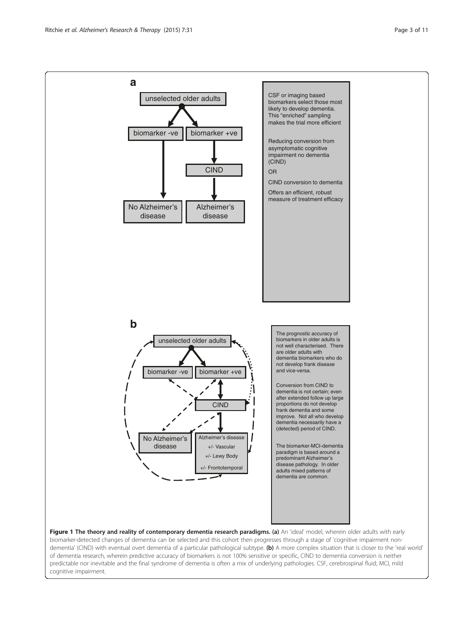<span id="page-2-0"></span>

biomarker-detected changes of dementia can be selected and this cohort then progresses through a stage of 'cognitive impairment nondementia' (CIND) with eventual overt dementia of a particular pathological subtype. (b) A more complex situation that is closer to the 'real world' of dementia research, wherein predictive accuracy of biomarkers is not 100% sensitive or specific, CIND to dementia conversion is neither predictable nor inevitable and the final syndrome of dementia is often a mix of underlying pathologies. CSF, cerebrospinal fluid; MCI, mild cognitive impairment.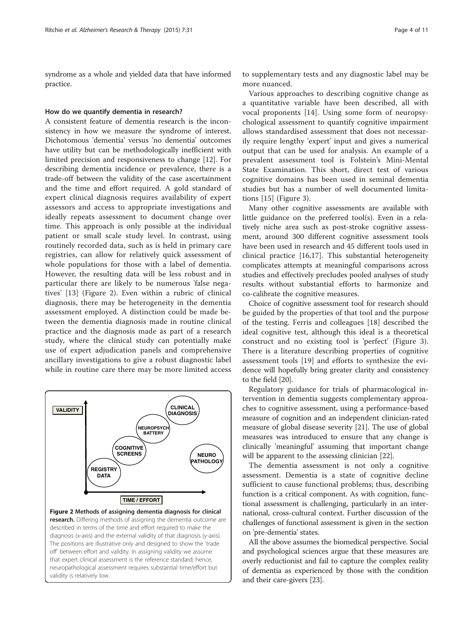syndrome as a whole and yielded data that have informed practice.

## How do we quantify dementia in research?

A consistent feature of dementia research is the inconsistency in how we measure the syndrome of interest. Dichotomous 'dementia' versus 'no dementia' outcomes have utility but can be methodologically inefficient with limited precision and responsiveness to change [\[12\]](#page-9-0). For describing dementia incidence or prevalence, there is a trade-off between the validity of the case ascertainment and the time and effort required. A gold standard of expert clinical diagnosis requires availability of expert assessors and access to appropriate investigations and ideally repeats assessment to document change over time. This approach is only possible at the individual patient or small scale study level. In contrast, using routinely recorded data, such as is held in primary care registries, can allow for relatively quick assessment of whole populations for those with a label of dementia. However, the resulting data will be less robust and in particular there are likely to be numerous 'false negatives' [\[13\]](#page-9-0) (Figure 2). Even within a rubric of clinical diagnosis, there may be heterogeneity in the dementia assessment employed. A distinction could be made between the dementia diagnosis made in routine clinical practice and the diagnosis made as part of a research study, where the clinical study can potentially make use of expert adjudication panels and comprehensive ancillary investigations to give a robust diagnostic label while in routine care there may be more limited access



to supplementary tests and any diagnostic label may be more nuanced.

Various approaches to describing cognitive change as a quantitative variable have been described, all with vocal proponents [[14\]](#page-9-0). Using some form of neuropsychological assessment to quantify cognitive impairment allows standardised assessment that does not necessarily require lengthy 'expert' input and gives a numerical output that can be used for analysis. An example of a prevalent assessment tool is Folstein's Mini-Mental State Examination. This short, direct test of various cognitive domains has been used in seminal dementia studies but has a number of well documented limitations [\[15](#page-9-0)] (Figure [3](#page-4-0)).

Many other cognitive assessments are available with little guidance on the preferred tool(s). Even in a relatively niche area such as post-stroke cognitive assessment, around 300 different cognitive assessment tools have been used in research and 45 different tools used in clinical practice [\[16,17\]](#page-9-0). This substantial heterogeneity complicates attempts at meaningful comparisons across studies and effectively precludes pooled analyses of study results without substantial efforts to harmonize and co-calibrate the cognitive measures.

Choice of cognitive assessment tool for research should be guided by the properties of that tool and the purpose of the testing. Ferris and colleagues [[18\]](#page-9-0) described the ideal cognitive test, although this ideal is a theoretical construct and no existing tool is 'perfect' (Figure [3](#page-4-0)). There is a literature describing properties of cognitive assessment tools [[19\]](#page-9-0) and efforts to synthesize the evidence will hopefully bring greater clarity and consistency to the field [[20](#page-9-0)].

Regulatory guidance for trials of pharmacological intervention in dementia suggests complementary approaches to cognitive assessment, using a performance-based measure of cognition and an independent clinician-rated measure of global disease severity [\[21](#page-9-0)]. The use of global measures was introduced to ensure that any change is clinically 'meaningful' assuming that important change will be apparent to the assessing clinician [[22](#page-9-0)].

The dementia assessment is not only a cognitive assessment. Dementia is a state of cognitive decline sufficient to cause functional problems; thus, describing function is a critical component. As with cognition, functional assessment is challenging, particularly in an international, cross-cultural context. Further discussion of the challenges of functional assessment is given in the section on 'pre-dementia' states.

All the above assumes the biomedical perspective. Social and psychological sciences argue that these measures are overly reductionist and fail to capture the complex reality of dementia as experienced by those with the condition and their care-givers [\[23\]](#page-9-0).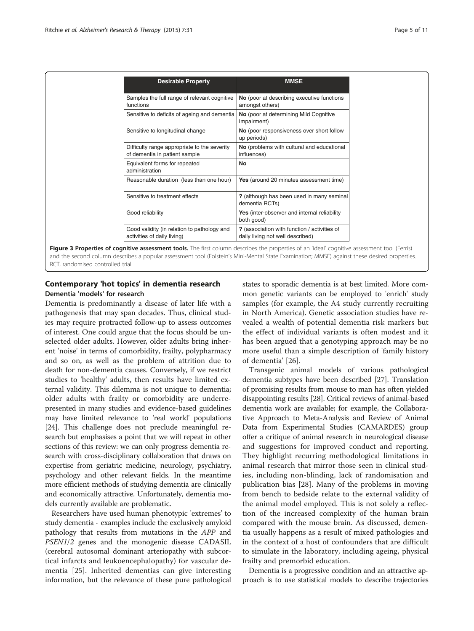<span id="page-4-0"></span>

| <b>Desirable Property</b>                                                     | <b>MMSE</b>                                                                      |
|-------------------------------------------------------------------------------|----------------------------------------------------------------------------------|
| Samples the full range of relevant cognitive<br>functions                     | No (poor at describing executive functions<br>amongst others)                    |
| Sensitive to deficits of ageing and dementia                                  | No (poor at determining Mild Cognitive<br>Impairment)                            |
| Sensitive to longitudinal change                                              | No (poor responsiveness over short follow<br>up periods)                         |
| Difficulty range appropriate to the severity<br>of dementia in patient sample | No (problems with cultural and educational<br>influences)                        |
| Equivalent forms for repeated<br>administration                               | No                                                                               |
| Reasonable duration (less than one hour)                                      | Yes (around 20 minutes assessment time)                                          |
| Sensitive to treatment effects                                                | ? (although has been used in many seminal<br>dementia RCTs)                      |
| Good reliability                                                              | Yes (inter-observer and internal reliability<br>both good)                       |
| Good validity (in relation to pathology and<br>activities of daily living)    | ? (association with function / activities of<br>daily living not well described) |

**Figure 3 Properties of cognitive assessment tools.** The first column describes the properties of an 'ideal' cognitive assessment tool (Ferris) and the second column describes a popular assessment tool (Folstein's Mini-Mental State Examination; MMSE) against these desired properties. RCT, randomised controlled trial.

# Contemporary 'hot topics' in dementia research Dementia 'models' for research

Dementia is predominantly a disease of later life with a pathogenesis that may span decades. Thus, clinical studies may require protracted follow-up to assess outcomes of interest. One could argue that the focus should be unselected older adults. However, older adults bring inherent 'noise' in terms of comorbidity, frailty, polypharmacy and so on, as well as the problem of attrition due to death for non-dementia causes. Conversely, if we restrict studies to 'healthy' adults, then results have limited external validity. This dilemma is not unique to dementia; older adults with frailty or comorbidity are underrepresented in many studies and evidence-based guidelines may have limited relevance to 'real world' populations [[24](#page-9-0)]. This challenge does not preclude meaningful research but emphasises a point that we will repeat in other sections of this review: we can only progress dementia research with cross-disciplinary collaboration that draws on expertise from geriatric medicine, neurology, psychiatry, psychology and other relevant fields. In the meantime more efficient methods of studying dementia are clinically and economically attractive. Unfortunately, dementia models currently available are problematic.

Researchers have used human phenotypic 'extremes' to study dementia - examples include the exclusively amyloid pathology that results from mutations in the APP and PSEN1/2 genes and the monogenic disease CADASIL (cerebral autosomal dominant arteriopathy with subcortical infarcts and leukoencephalopathy) for vascular dementia [[25\]](#page-9-0). Inherited dementias can give interesting information, but the relevance of these pure pathological states to sporadic dementia is at best limited. More common genetic variants can be employed to 'enrich' study samples (for example, the A4 study currently recruiting in North America). Genetic association studies have revealed a wealth of potential dementia risk markers but the effect of individual variants is often modest and it has been argued that a genotyping approach may be no more useful than a simple description of 'family history of dementia' [\[26](#page-9-0)].

Transgenic animal models of various pathological dementia subtypes have been described [[27](#page-9-0)]. Translation of promising results from mouse to man has often yielded disappointing results [\[28](#page-9-0)]. Critical reviews of animal-based dementia work are available; for example, the Collaborative Approach to Meta-Analysis and Review of Animal Data from Experimental Studies (CAMARDES) group offer a critique of animal research in neurological disease and suggestions for improved conduct and reporting. They highlight recurring methodological limitations in animal research that mirror those seen in clinical studies, including non-blinding, lack of randomisation and publication bias [\[28](#page-9-0)]. Many of the problems in moving from bench to bedside relate to the external validity of the animal model employed. This is not solely a reflection of the increased complexity of the human brain compared with the mouse brain. As discussed, dementia usually happens as a result of mixed pathologies and in the context of a host of confounders that are difficult to simulate in the laboratory, including ageing, physical frailty and premorbid education.

Dementia is a progressive condition and an attractive approach is to use statistical models to describe trajectories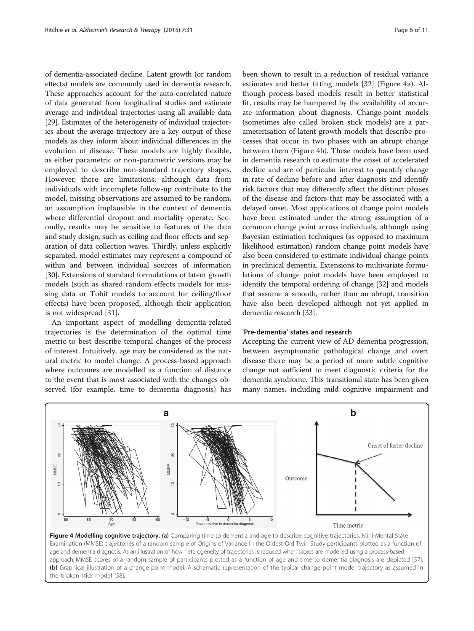of dementia-associated decline. Latent growth (or random effects) models are commonly used in dementia research. These approaches account for the auto-correlated nature of data generated from longitudinal studies and estimate average and individual trajectories using all available data [[29](#page-9-0)]. Estimates of the heterogeneity of individual trajectories about the average trajectory are a key output of these models as they inform about individual differences in the evolution of disease. These models are highly flexible, as either parametric or non-parametric versions may be employed to describe non-standard trajectory shapes. However, there are limitations; although data from individuals with incomplete follow-up contribute to the model, missing observations are assumed to be random, an assumption implausible in the context of dementia where differential dropout and mortality operate. Secondly, results may be sensitive to features of the data and study design, such as ceiling and floor effects and separation of data collection waves. Thirdly, unless explicitly separated, model estimates may represent a compound of within and between individual sources of information [[30](#page-9-0)]. Extensions of standard formulations of latent growth models (such as shared random effects models for missing data or Tobit models to account for ceiling/floor effects) have been proposed, although their application is not widespread [[31\]](#page-9-0).

An important aspect of modelling dementia-related trajectories is the determination of the optimal time metric to best describe temporal changes of the process of interest. Intuitively, age may be considered as the natural metric to model change. A process-based approach where outcomes are modelled as a function of distance to the event that is most associated with the changes observed (for example, time to dementia diagnosis) has

been shown to result in a reduction of residual variance estimates and better fitting models [\[32](#page-9-0)] (Figure 4a). Although process-based models result in better statistical fit, results may be hampered by the availability of accurate information about diagnosis. Change-point models (sometimes also called broken stick models) are a parameterisation of latent growth models that describe processes that occur in two phases with an abrupt change between them (Figure 4b). These models have been used in dementia research to estimate the onset of accelerated decline and are of particular interest to quantify change in rate of decline before and after diagnosis and identify risk factors that may differently affect the distinct phases of the disease and factors that may be associated with a delayed onset. Most applications of change point models have been estimated under the strong assumption of a common change point across individuals, although using Bayesian estimation techniques (as opposed to maximum likelihood estimation) random change point models have also been considered to estimate individual change points in preclinical dementia. Extensions to multivariate formulations of change point models have been employed to identify the temporal ordering of change [[32](#page-9-0)] and models that assume a smooth, rather than an abrupt, transition have also been developed although not yet applied in dementia research [\[33](#page-9-0)].

### 'Pre-dementia' states and research

Accepting the current view of AD dementia progression, between asymptomatic pathological change and overt disease there may be a period of more subtle cognitive change not sufficient to meet diagnostic criteria for the dementia syndrome. This transitional state has been given many names, including mild cognitive impairment and



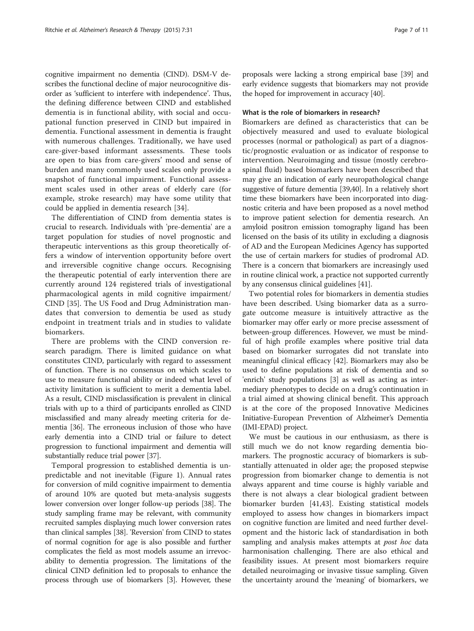cognitive impairment no dementia (CIND). DSM-V describes the functional decline of major neurocognitive disorder as 'sufficient to interfere with independence'. Thus, the defining difference between CIND and established dementia is in functional ability, with social and occupational function preserved in CIND but impaired in dementia. Functional assessment in dementia is fraught with numerous challenges. Traditionally, we have used care-giver-based informant assessments. These tools are open to bias from care-givers' mood and sense of burden and many commonly used scales only provide a snapshot of functional impairment. Functional assessment scales used in other areas of elderly care (for example, stroke research) may have some utility that could be applied in dementia research [[34\]](#page-9-0).

The differentiation of CIND from dementia states is crucial to research. Individuals with 'pre-dementia' are a target population for studies of novel prognostic and therapeutic interventions as this group theoretically offers a window of intervention opportunity before overt and irreversible cognitive change occurs. Recognising the therapeutic potential of early intervention there are currently around 124 registered trials of investigational pharmacological agents in mild cognitive impairment/ CIND [\[35\]](#page-9-0). The US Food and Drug Administration mandates that conversion to dementia be used as study endpoint in treatment trials and in studies to validate biomarkers.

There are problems with the CIND conversion research paradigm. There is limited guidance on what constitutes CIND, particularly with regard to assessment of function. There is no consensus on which scales to use to measure functional ability or indeed what level of activity limitation is sufficient to merit a dementia label. As a result, CIND misclassification is prevalent in clinical trials with up to a third of participants enrolled as CIND misclassified and many already meeting criteria for dementia [\[36](#page-9-0)]. The erroneous inclusion of those who have early dementia into a CIND trial or failure to detect progression to functional impairment and dementia will substantially reduce trial power [\[37](#page-9-0)].

Temporal progression to established dementia is unpredictable and not inevitable (Figure [1\)](#page-2-0). Annual rates for conversion of mild cognitive impairment to dementia of around 10% are quoted but meta-analysis suggests lower conversion over longer follow-up periods [\[38](#page-9-0)]. The study sampling frame may be relevant, with community recruited samples displaying much lower conversion rates than clinical samples [[38](#page-9-0)]. 'Reversion' from CIND to states of normal cognition for age is also possible and further complicates the field as most models assume an irrevocability to dementia progression. The limitations of the clinical CIND definition led to proposals to enhance the process through use of biomarkers [[3](#page-9-0)]. However, these proposals were lacking a strong empirical base [[39](#page-9-0)] and early evidence suggests that biomarkers may not provide the hoped for improvement in accuracy [[40](#page-9-0)].

# What is the role of biomarkers in research?

Biomarkers are defined as characteristics that can be objectively measured and used to evaluate biological processes (normal or pathological) as part of a diagnostic/prognostic evaluation or as indicator of response to intervention. Neuroimaging and tissue (mostly cerebrospinal fluid) based biomarkers have been described that may give an indication of early neuropathological change suggestive of future dementia [\[39,40](#page-9-0)]. In a relatively short time these biomarkers have been incorporated into diagnostic criteria and have been proposed as a novel method to improve patient selection for dementia research. An amyloid positron emission tomography ligand has been licensed on the basis of its utility in excluding a diagnosis of AD and the European Medicines Agency has supported the use of certain markers for studies of prodromal AD. There is a concern that biomarkers are increasingly used in routine clinical work, a practice not supported currently by any consensus clinical guidelines [\[41\]](#page-9-0).

Two potential roles for biomarkers in dementia studies have been described. Using biomarker data as a surrogate outcome measure is intuitively attractive as the biomarker may offer early or more precise assessment of between-group differences. However, we must be mindful of high profile examples where positive trial data based on biomarker surrogates did not translate into meaningful clinical efficacy [\[42\]](#page-9-0). Biomarkers may also be used to define populations at risk of dementia and so 'enrich' study populations [[3\]](#page-9-0) as well as acting as intermediary phenotypes to decide on a drug's continuation in a trial aimed at showing clinical benefit. This approach is at the core of the proposed Innovative Medicines Initiative-European Prevention of Alzheimer's Dementia (IMI-EPAD) project.

We must be cautious in our enthusiasm, as there is still much we do not know regarding dementia biomarkers. The prognostic accuracy of biomarkers is substantially attenuated in older age; the proposed stepwise progression from biomarker change to dementia is not always apparent and time course is highly variable and there is not always a clear biological gradient between biomarker burden [\[41,43\]](#page-9-0). Existing statistical models employed to assess how changes in biomarkers impact on cognitive function are limited and need further development and the historic lack of standardisation in both sampling and analysis makes attempts at *post hoc* data harmonisation challenging. There are also ethical and feasibility issues. At present most biomarkers require detailed neuroimaging or invasive tissue sampling. Given the uncertainty around the 'meaning' of biomarkers, we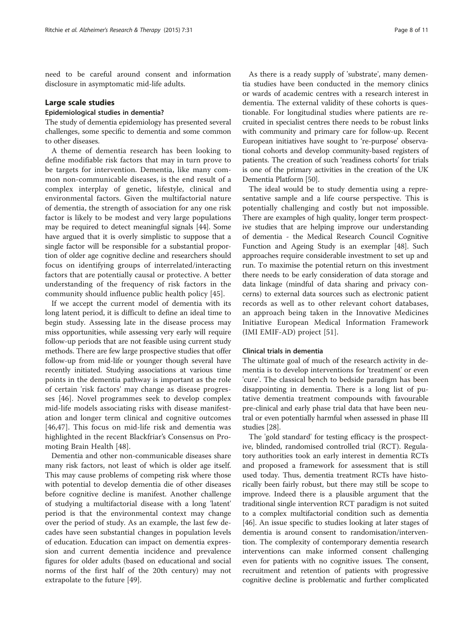need to be careful around consent and information disclosure in asymptomatic mid-life adults.

# Large scale studies

# Epidemiological studies in dementia?

The study of dementia epidemiology has presented several challenges, some specific to dementia and some common to other diseases.

A theme of dementia research has been looking to define modifiable risk factors that may in turn prove to be targets for intervention. Dementia, like many common non-communicable diseases, is the end result of a complex interplay of genetic, lifestyle, clinical and environmental factors. Given the multifactorial nature of dementia, the strength of association for any one risk factor is likely to be modest and very large populations may be required to detect meaningful signals [[44](#page-9-0)]. Some have argued that it is overly simplistic to suppose that a single factor will be responsible for a substantial proportion of older age cognitive decline and researchers should focus on identifying groups of interrelated/interacting factors that are potentially causal or protective. A better understanding of the frequency of risk factors in the community should influence public health policy [\[45](#page-9-0)].

If we accept the current model of dementia with its long latent period, it is difficult to define an ideal time to begin study. Assessing late in the disease process may miss opportunities, while assessing very early will require follow-up periods that are not feasible using current study methods. There are few large prospective studies that offer follow-up from mid-life or younger though several have recently initiated. Studying associations at various time points in the dementia pathway is important as the role of certain 'risk factors' may change as disease progresses [[46\]](#page-9-0). Novel programmes seek to develop complex mid-life models associating risks with disease manifestation and longer term clinical and cognitive outcomes [[46,47](#page-9-0)]. This focus on mid-life risk and dementia was highlighted in the recent Blackfriar's Consensus on Promoting Brain Health [[48\]](#page-10-0).

Dementia and other non-communicable diseases share many risk factors, not least of which is older age itself. This may cause problems of competing risk where those with potential to develop dementia die of other diseases before cognitive decline is manifest. Another challenge of studying a multifactorial disease with a long 'latent' period is that the environmental context may change over the period of study. As an example, the last few decades have seen substantial changes in population levels of education. Education can impact on dementia expression and current dementia incidence and prevalence figures for older adults (based on educational and social norms of the first half of the 20th century) may not extrapolate to the future [[49\]](#page-10-0).

As there is a ready supply of 'substrate', many dementia studies have been conducted in the memory clinics or wards of academic centres with a research interest in dementia. The external validity of these cohorts is questionable. For longitudinal studies where patients are recruited in specialist centres there needs to be robust links with community and primary care for follow-up. Recent European initiatives have sought to 're-purpose' observational cohorts and develop community-based registers of patients. The creation of such 'readiness cohorts' for trials is one of the primary activities in the creation of the UK Dementia Platform [[50](#page-10-0)].

The ideal would be to study dementia using a representative sample and a life course perspective. This is potentially challenging and costly but not impossible. There are examples of high quality, longer term prospective studies that are helping improve our understanding of dementia - the Medical Research Council Cognitive Function and Ageing Study is an exemplar [[48](#page-10-0)]. Such approaches require considerable investment to set up and run. To maximise the potential return on this investment there needs to be early consideration of data storage and data linkage (mindful of data sharing and privacy concerns) to external data sources such as electronic patient records as well as to other relevant cohort databases, an approach being taken in the Innovative Medicines Initiative European Medical Information Framework (IMI EMIF-AD) project [[51\]](#page-10-0).

### Clinical trials in dementia

The ultimate goal of much of the research activity in dementia is to develop interventions for 'treatment' or even 'cure'. The classical bench to bedside paradigm has been disappointing in dementia. There is a long list of putative dementia treatment compounds with favourable pre-clinical and early phase trial data that have been neutral or even potentially harmful when assessed in phase III studies [\[28\]](#page-9-0).

The 'gold standard' for testing efficacy is the prospective, blinded, randomised controlled trial (RCT). Regulatory authorities took an early interest in dementia RCTs and proposed a framework for assessment that is still used today. Thus, dementia treatment RCTs have historically been fairly robust, but there may still be scope to improve. Indeed there is a plausible argument that the traditional single intervention RCT paradigm is not suited to a complex multifactorial condition such as dementia [[46](#page-9-0)]. An issue specific to studies looking at later stages of dementia is around consent to randomisation/intervention. The complexity of contemporary dementia research interventions can make informed consent challenging even for patients with no cognitive issues. The consent, recruitment and retention of patients with progressive cognitive decline is problematic and further complicated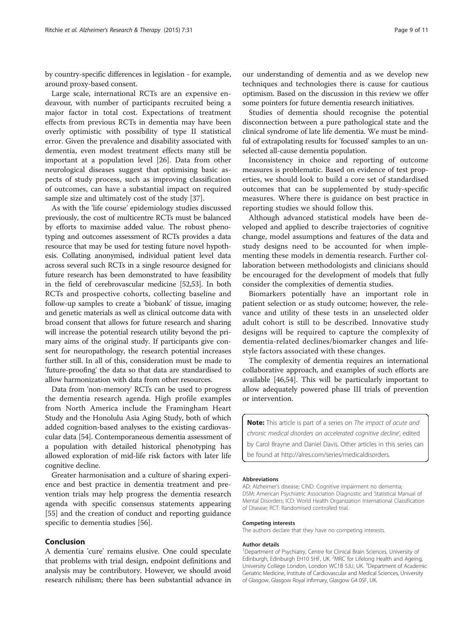by country-specific differences in legislation - for example, around proxy-based consent.

Large scale, international RCTs are an expensive endeavour, with number of participants recruited being a major factor in total cost. Expectations of treatment effects from previous RCTs in dementia may have been overly optimistic with possibility of type II statistical error. Given the prevalence and disability associated with dementia, even modest treatment effects many still be important at a population level [[26\]](#page-9-0). Data from other neurological diseases suggest that optimising basic aspects of study process, such as improving classification of outcomes, can have a substantial impact on required sample size and ultimately cost of the study [[37\]](#page-9-0).

As with the 'life course' epidemiology studies discussed previously, the cost of multicentre RCTs must be balanced by efforts to maximise added value. The robust phenotyping and outcomes assessment of RCTs provides a data resource that may be used for testing future novel hypothesis. Collating anonymised, individual patient level data across several such RCTs in a single resource designed for future research has been demonstrated to have feasibility in the field of cerebrovascular medicine [\[52,53\]](#page-10-0). In both RCTs and prospective cohorts, collecting baseline and follow-up samples to create a 'biobank' of tissue, imaging and genetic materials as well as clinical outcome data with broad consent that allows for future research and sharing will increase the potential research utility beyond the primary aims of the original study. If participants give consent for neuropathology, the research potential increases further still. In all of this, consideration must be made to 'future-proofing' the data so that data are standardised to allow harmonization with data from other resources.

Data from 'non-memory' RCTs can be used to progress the dementia research agenda. High profile examples from North America include the Framingham Heart Study and the Honolulu Asia Aging Study, both of which added cognition-based analyses to the existing cardiovascular data [[54](#page-10-0)]. Contemporaneous dementia assessment of a population with detailed historical phenotyping has allowed exploration of mid-life risk factors with later life cognitive decline.

Greater harmonisation and a culture of sharing experience and best practice in dementia treatment and prevention trials may help progress the dementia research agenda with specific consensus statements appearing [[55\]](#page-10-0) and the creation of conduct and reporting guidance specific to dementia studies [\[56](#page-10-0)].

# Conclusion

A dementia 'cure' remains elusive. One could speculate that problems with trial design, endpoint definitions and analysis may be contributory. However, we should avoid research nihilism; there has been substantial advance in our understanding of dementia and as we develop new techniques and technologies there is cause for cautious optimism. Based on the discussion in this review we offer some pointers for future dementia research initiatives.

Studies of dementia should recognise the potential disconnection between a pure pathological state and the clinical syndrome of late life dementia. We must be mindful of extrapolating results for 'focussed' samples to an unselected all-cause dementia population.

Inconsistency in choice and reporting of outcome measures is problematic. Based on evidence of test properties, we should look to build a core set of standardised outcomes that can be supplemented by study-specific measures. Where there is guidance on best practice in reporting studies we should follow this.

Although advanced statistical models have been developed and applied to describe trajectories of cognitive change, model assumptions and features of the data and study designs need to be accounted for when implementing these models in dementia research. Further collaboration between methodologists and clinicians should be encouraged for the development of models that fully consider the complexities of dementia studies.

Biomarkers potentially have an important role in patient selection or as study outcome; however, the relevance and utility of these tests in an unselected older adult cohort is still to be described. Innovative study designs will be required to capture the complexity of dementia-related declines/biomarker changes and lifestyle factors associated with these changes.

The complexity of dementia requires an international collaborative approach, and examples of such efforts are available [\[46,](#page-9-0)[54\]](#page-10-0). This will be particularly important to allow adequately powered phase III trials of prevention or intervention.

Note: This article is part of a series on The impact of acute and chronic medical disorders on accelerated cognitive decline', edited by Carol Brayne and Daniel Davis. Other articles in this series can be found at [http://alres.com/series/medicaldisorders.](http://alres.com/series/medicaldisorders)

#### Abbreviations

AD: Alzheimer's disease; CIND: Cognitive impairment no dementia; DSM: American Psychiatric Association Diagnostic and Statistical Manual of Mental Disorders; ICD: World Health Organization International Classification of Disease; RCT: Randomised controlled trial.

#### Competing interests

The authors declare that they have no competing interests.

#### Author details

<sup>1</sup>Department of Psychiatry, Centre for Clinical Brain Sciences, University of Edinburgh, Edinburgh EH10 5HF, UK. <sup>2</sup>MRC for Lifelong Health and Ageing University College London, London WC1B 5JU, UK. <sup>3</sup>Department of Academic Geriatric Medicine, Institute of Cardiovascular and Medical Sciences, University of Glasgow, Glasgow Royal Infirmary, Glasgow G4 0SF, UK.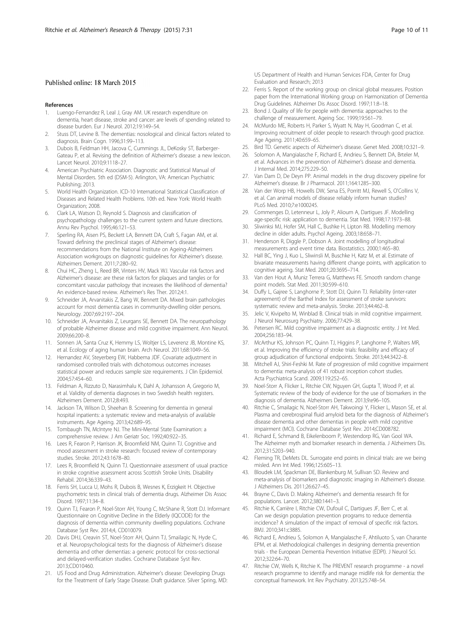#### <span id="page-9-0"></span>Published online: 18 March 2015

#### References

- 1. Luengo-Fernandez R, Leal J, Gray AM. UK research expenditure on dementia, heart disease, stroke and cancer: are levels of spending related to disease burden. Eur J Neurol. 2012;19:149–54.
- 2. Stuss DT, Levine B. The dementias: nosological and clinical factors related to diagnosis. Brain Cogn. 1996;31:99–113.
- 3. Dubois B, Feldman HH, Jacova C, Cummings JL, DeKosky ST, Barberger-Gateau P, et al. Revising the definition of Alzheimer's disease: a new lexicon. Lancet Neurol. 2010;9:1118–27.
- 4. American Psychiatric Association. Diagnostic and Statistical Manual of Mental Disorders. 5th ed (DSM-5). Arlington, VA: American Psychiatric Publishing; 2013.
- 5. World Health Organization. ICD-10 International Statistical Classification of Diseases and Related Health Problems. 10th ed. New York: World Health Organization; 2008.
- 6. Clark LA, Watson D, Reynold S. Diagnosis and classification of psychopathology challenges to the current system and future directions. Annu Rev Psychol. 1995;46:121–53.
- Sperling RA, Aisen PS, Beckett LA, Bennett DA, Craft S, Fagan AM, et al. Toward defining the preclinical stages of Alzheimer's disease: recommendations from the National Institute on Ageing-Alzheimers Association workgroups on diagnostic guidelines for Alzheimer's disease. Alzheimers Dement. 2011;7:280–92.
- 8. Chui HC, Zheng L, Reed BR, Vinters HV, Mack WJ. Vascular risk factors and Alzheimer's disease: are these risk factors for plaques and tangles or for concomitant vascular pathology that increases the likelihood of dementia? An evidence-based review. Alzheimer's Res Ther. 2012;4:1.
- 9. Schneider JA, Arvanitakis Z, Bang W, Bennett DA. Mixed brain pathologies account for most dementia cases in community-dwelling older persons. Neurology. 2007;69:2197–204.
- 10. Schneider JA, Arvanitakis Z, Leurgans SE, Bennett DA. The neuropathology of probable Alzheimer disease and mild cognitive impairment. Ann Neurol. 2009;66:200–8.
- 11. Sonnen JA, Santa Cruz K, Hemmy LS, Woltjer LS, Leverenz JB, Montine KS, et al. Ecology of aging human brain. Arch Neurol. 2011;68:1049–56.
- 12. Hernandez AV, Steyerberg EW, Habbema JDF. Covariate adjustment in randomised controlled trials with dichotomous outcomes increases statistical power and reduces sample size requirements. J Clin Epidemiol. 2004;57:454–60.
- 13. Feldman A, Rizzuto D, Narasimhalu K, Dahl A, Johansson A, Gregorio M, et al. Validity of dementia diagnoses in two Swedish health registers. Alzheimers Dement. 2012;8:493.
- 14. Jackson TA, Wilson D, Sheehan B. Screening for dementia in general hospital inpatients: a systematic review and meta-analysis of available instruments. Age Ageing. 2013;42:689–95.
- 15. Tombaugh TN, McIntyre NJ. The Mini-Mental State Examination: a comprehensive review. J Am Geriatr Soc. 1992;40:922–35.
- 16. Lees R, Fearon P, Harrison JK, Broomfield NM, Quinn TJ. Cognitive and mood assessment in stroke research: focused review of contemporary studies. Stroke. 2012;43:1678–80.
- 17. Lees R, Broomfield N, Quinn TJ. Questionnaire assessment of usual practice in stroke cognitive assessment across Scottish Stroke Units. Disability Rehabil. 2014;36:339–43.
- 18. Ferris SH, Lucca U, Mohs R, Dubois B, Wesnes K, Erzigkeit H. Objective psychometric tests in clinical trials of dementia drugs. Alzheimer Dis Assoc Disord. 1997;11:34–8.
- 19. Quinn TJ, Fearon P, Noel-Storr AH, Young C, McShane R, Stott DJ. Informant Questionnaire on Cognitive Decline in the Elderly (IQCODE) for the diagnosis of dementia within community dwelling populations. Cochrane Database Syst Rev. 2014;4, CD010079.
- 20. Davis DHJ, Creavin ST, Noel-Storr AH, Quinn TJ, Smailagic N, Hyde C, et al. Neuropsychological tests for the diagnosis of Alzheimer's disease dementia and other dementias: a generic protocol for cross-sectional and delayed-verification studies. Cochrane Database Syst Rev. 2013;CD010460.
- 21. US Food and Drug Administration. Alzheimer's disease: Developing Drugs for the Treatment of Early Stage Disease. Draft guidance. Silver Spring, MD:

US Department of Health and Human Services FDA, Center for Drug Evaluation and Research; 2013

- 22. Ferris S. Report of the working group on clinical global measures. Position paper from the International Working group on Harmonization of Dementia Drug Guidelines. Alzheimer Dis Assoc Disord. 1997;11:8–18.
- 23. Bond J. Quality of life for people with dementia: approaches to the challenge of measurement. Ageing Soc. 1999;19:561–79.
- 24. McMurdo ME, Roberts H, Parker S, Wyatt N, May H, Goodman C, et al. Improving recruitment of older people to research through good practice. Age Ageing. 2011;40:659–65.
- 25. Bird TD. Genetic aspects of Alzheimer's disease. Genet Med. 2008;10:321–9.
- 26. Solomon A, Mangialasche F, Richard E, Andrieu S, Bennett DA, Brteler M, et al. Advances in the prevention of Alzheimer's disease and dementia. J Internal Med. 2014;275:229–50.
- 27. Van Dam D, De Deyn PP. Animal models in the drug discovery pipeline for Alzheimer's disease. Br J Pharmacol. 2011;164:1285–300.
- 28. Van der Worp HB, Howells DW, Sena ES, Porritt MJ, Rewell S, O'Collins V, et al. Can animal models of disease reliably inform human studies? PLoS Med. 2010;7:e1000245.
- 29. Commenges D, Letenneur L, Joly P, Alioum A, Dartigues JF. Modelling age-specific risk: application to dementia. Stat Med. 1998;17:1973–88.
- 30. Sliwinksi MJ, Hofer SM, Hall C, Bushke H, Lipton RB. Modelling memory decline in older adults. Psychol Ageing. 2003;18:658–71.
- 31. Henderson R, Diggle P, Dobson A. Joint modelling of longitudinal measurements and event time data. Biostatistics. 2000;1:465–80.
- 32. Hall BC, Ying J, Kuo L, Sliwinsli M, Buschke H, Katz M, et al. Estimate of bivariate measurements having different change points, with application to cognitive ageing. Stat Med. 2001;20:3695–714.
- 33. Van den Hout A, Muniz Terrera G, Matthews FE. Smooth random change point models. Stat Med. 2011;30:599–610.
- 34. Duffy L, Gajree S, Langhorne P, Stott DJ, Quinn TJ. Reliability (inter-rater agreement) of the Barthel Index for assessment of stroke survivors: systematic review and meta-analysis. Stroke. 2013;44:462–8.
- 35. Jelic V, Kivipelto M, Winblad B. Clinical trials in mild cognitive impairment. J Neurol Neurosurg Psychiatry. 2006;77:429–38.
- 36. Petersen RC. Mild cognitive impairment as a diagnostic entity. J Int Med. 2004;256:183–94.
- 37. McArthur KS, Johnson PC, Quinn TJ, Higgins P, Langhorne P, Walters MR, et al. Improving the efficiency of stroke trials: feasibility and efficacy of group adjudication of functional endpoints. Stroke. 2013;44:3422–8.
- 38. Mitchell AJ, Shiri-Feshki M. Rate of progression of mild cognitive impairment to dementia: meta-analysis of 41 robust inception cohort studies. Acta Psychiatrica Scand. 2009;119:252–65.
- 39. Noel-Storr A, Flicker L, Ritchie CW, Nguyen GH, Gupta T, Wood P, et al. Systematic review of the body of evidence for the use of biomarkers in the diagnosis of dementia. Alzheimers Dement. 2013;9:e96–105.
- 40. Ritchie C, Smailagic N, Noel-Storr AH, Takwoingi Y, Flicker L, Mason SE, et al. Plasma and cerebrospinal fluid amyloid beta for the diagnosis of Alzheimer's disease dementia and other dementias in people with mild cognitive impairment (MCI). Cochrane Database Syst Rev. 2014;CD008782.
- 41. Richard E, Schmand B, Eikelenboom P, Westendorp RG, Van Gool WA. The Alzheimer myth and biomarker research in dementia. J Alzheimers Dis. 2012;31:S203–940.
- 42. Fleming TR, DeMets DL. Surrogate end points in clinical trials: are we being misled. Ann Int Med. 1996;125:605–13.
- 43. Bloudek LM, Spackman DE, Blankenburg M, Sullivan SD. Review and meta-analysis of biomarkers and diagnostic imaging in Alzheimer's disease. J Alzheimers Dis. 2011;26:627–45.
- 44. Brayne C, Davis D. Making Alzheimer's and dementia research fit for populations. Lancet. 2012;380:1441–3.
- 45. Ritchie K, Carrière I, Ritchie CW, Dufouil C, Dartigues JF, Berr C, et al. Can we design population prevention programs to reduce dementia incidence? A simulation of the impact of removal of specific risk factors. BMJ. 2010;341:c3885.
- 46. Richard E, Andrieu S, Solomon A, Mangialasche F, Ahtiluoto S, van Charante EPM, et al. Methodological challenges in designing dementia prevention trials - the European Dementia Prevention Initiative (EDPI). J Neurol Sci. 2012;322:64–70.
- 47. Ritchie CW, Wells K, Ritchie K. The PREVENT research programme a novel research programme to identify and manage midlife risk for dementia: the conceptual framework. Int Rev Psychiatry. 2013;25:748–54.